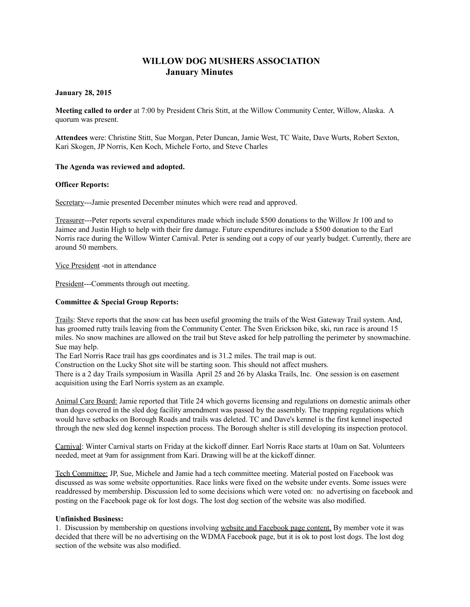# **WILLOW DOG MUSHERS ASSOCIATION January Minutes**

## **January 28, 2015**

**Meeting called to order** at 7:00 by President Chris Stitt, at the Willow Community Center, Willow, Alaska. A quorum was present.

**Attendees** were: Christine Stitt, Sue Morgan, Peter Duncan, Jamie West, TC Waite, Dave Wurts, Robert Sexton, Kari Skogen, JP Norris, Ken Koch, Michele Forto, and Steve Charles

## **The Agenda was reviewed and adopted.**

### **Officer Reports:**

Secretary---Jamie presented December minutes which were read and approved.

Treasurer---Peter reports several expenditures made which include \$500 donations to the Willow Jr 100 and to Jaimee and Justin High to help with their fire damage. Future expenditures include a \$500 donation to the Earl Norris race during the Willow Winter Carnival. Peter is sending out a copy of our yearly budget. Currently, there are around 50 members.

Vice President -not in attendance

President---Comments through out meeting.

## **Committee & Special Group Reports:**

Trails: Steve reports that the snow cat has been useful grooming the trails of the West Gateway Trail system. And, has groomed rutty trails leaving from the Community Center. The Sven Erickson bike, ski, run race is around 15 miles. No snow machines are allowed on the trail but Steve asked for help patrolling the perimeter by snowmachine. Sue may help.

The Earl Norris Race trail has gps coordinates and is 31.2 miles. The trail map is out.

Construction on the Lucky Shot site will be starting soon. This should not affect mushers.

There is a 2 day Trails symposium in Wasilla April 25 and 26 by Alaska Trails, Inc. One session is on easement acquisition using the Earl Norris system as an example.

Animal Care Board: Jamie reported that Title 24 which governs licensing and regulations on domestic animals other than dogs covered in the sled dog facility amendment was passed by the assembly. The trapping regulations which would have setbacks on Borough Roads and trails was deleted. TC and Dave's kennel is the first kennel inspected through the new sled dog kennel inspection process. The Borough shelter is still developing its inspection protocol.

Carnival: Winter Carnival starts on Friday at the kickoff dinner. Earl Norris Race starts at 10am on Sat. Volunteers needed, meet at 9am for assignment from Kari. Drawing will be at the kickoff dinner.

Tech Committee: JP, Sue, Michele and Jamie had a tech committee meeting. Material posted on Facebook was discussed as was some website opportunities. Race links were fixed on the website under events. Some issues were readdressed by membership. Discussion led to some decisions which were voted on: no advertising on facebook and posting on the Facebook page ok for lost dogs. The lost dog section of the website was also modified.

## **Unfinished Business:**

1. Discussion by membership on questions involving website and Facebook page content. By member vote it was decided that there will be no advertising on the WDMA Facebook page, but it is ok to post lost dogs. The lost dog section of the website was also modified.